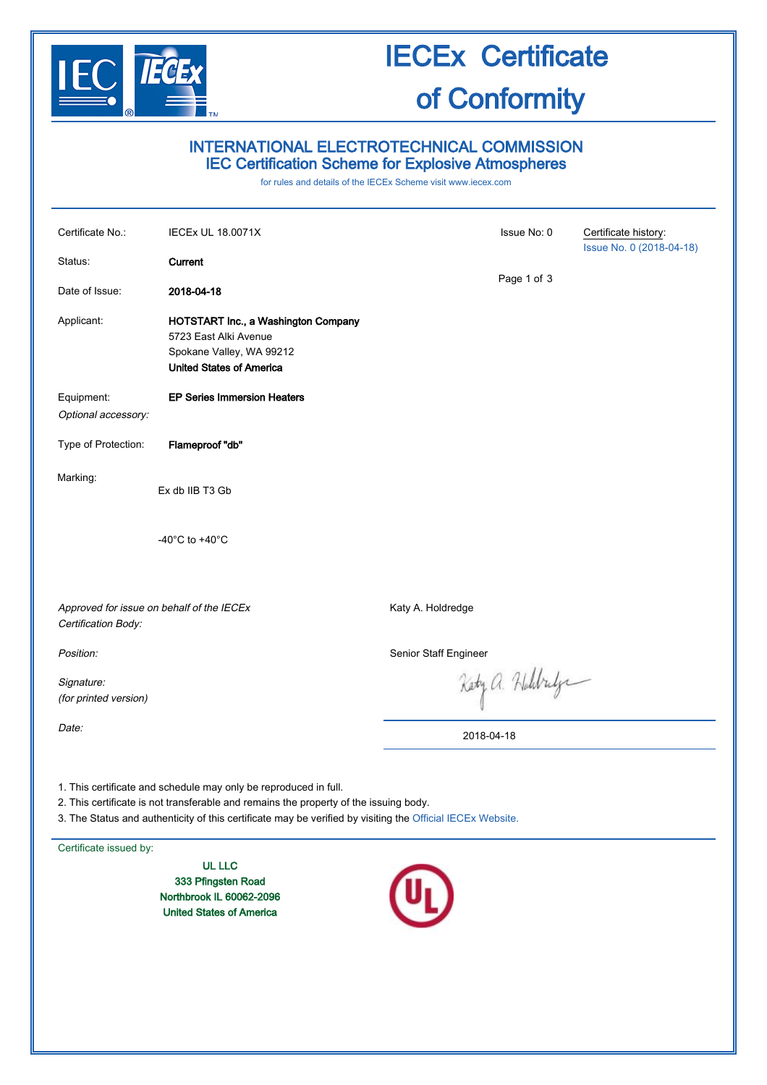

### INTERNATIONAL ELECTROTECHNICAL COMMISSION IEC Certification Scheme for Explosive Atmospheres

for rules and details of the IECEx Scheme visit [www.iecex.com](http://www.iecex.com/)

| Certificate No.:                                                                                                                                                                                                                                                        | <b>IECEx UL 18.0071X</b>                                                                                                           |                       | Issue No: 0     | Certificate history:<br>Issue No. 0 (2018-04-18) |
|-------------------------------------------------------------------------------------------------------------------------------------------------------------------------------------------------------------------------------------------------------------------------|------------------------------------------------------------------------------------------------------------------------------------|-----------------------|-----------------|--------------------------------------------------|
| Status:                                                                                                                                                                                                                                                                 | Current                                                                                                                            |                       |                 |                                                  |
| Date of Issue:                                                                                                                                                                                                                                                          | 2018-04-18                                                                                                                         |                       | Page 1 of 3     |                                                  |
| Applicant:                                                                                                                                                                                                                                                              | <b>HOTSTART Inc., a Washington Company</b><br>5723 East Alki Avenue<br>Spokane Valley, WA 99212<br><b>United States of America</b> |                       |                 |                                                  |
| Equipment:<br>Optional accessory:                                                                                                                                                                                                                                       | <b>EP Series Immersion Heaters</b>                                                                                                 |                       |                 |                                                  |
| Type of Protection:                                                                                                                                                                                                                                                     | Flameproof "db"                                                                                                                    |                       |                 |                                                  |
| Marking:                                                                                                                                                                                                                                                                | Ex db IIB T3 Gb                                                                                                                    |                       |                 |                                                  |
|                                                                                                                                                                                                                                                                         | -40 $^{\circ}$ C to +40 $^{\circ}$ C                                                                                               |                       |                 |                                                  |
| Approved for issue on behalf of the IECEx<br>Certification Body:                                                                                                                                                                                                        |                                                                                                                                    | Katy A. Holdredge     |                 |                                                  |
| Position:                                                                                                                                                                                                                                                               |                                                                                                                                    | Senior Staff Engineer |                 |                                                  |
| Signature:<br>(for printed version)                                                                                                                                                                                                                                     |                                                                                                                                    |                       | Kety a. Holdrey |                                                  |
| Date:                                                                                                                                                                                                                                                                   |                                                                                                                                    | 2018-04-18            |                 |                                                  |
| 1. This certificate and schedule may only be reproduced in full.<br>2. This certificate is not transferable and remains the property of the issuing body.<br>3. The Status and authenticity of this certificate may be verified by visiting the Official IECEx Website. |                                                                                                                                    |                       |                 |                                                  |

Certificate issued by:

UL LLC 333 Pfingsten Road Northbrook IL 60062-2096 United States of America

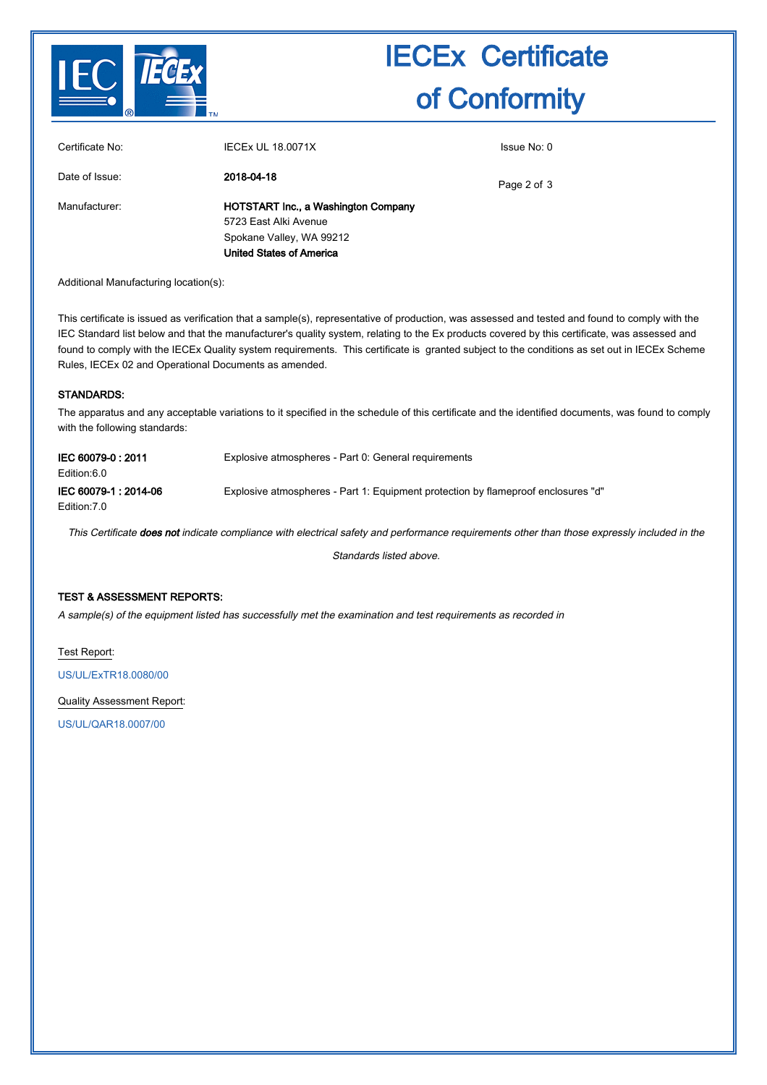

3

| Certificate No: | <b>IECEX UL 18.0071X</b>                                                                                                           | Issue No: 0 |  |
|-----------------|------------------------------------------------------------------------------------------------------------------------------------|-------------|--|
| Date of Issue:  | 2018-04-18                                                                                                                         | Page 2 of 3 |  |
| Manufacturer:   | <b>HOTSTART Inc., a Washington Company</b><br>5723 East Alki Avenue<br>Spokane Valley, WA 99212<br><b>United States of America</b> |             |  |

Additional Manufacturing location(s):

This certificate is issued as verification that a sample(s), representative of production, was assessed and tested and found to comply with the IEC Standard list below and that the manufacturer's quality system, relating to the Ex products covered by this certificate, was assessed and found to comply with the IECEx Quality system requirements. This certificate is granted subject to the conditions as set out in IECEx Scheme Rules, IECEx 02 and Operational Documents as amended.

#### STANDARDS:

The apparatus and any acceptable variations to it specified in the schedule of this certificate and the identified documents, was found to comply with the following standards:

| IEC 60079-0:2011<br>Edition:6.0     | Explosive atmospheres - Part 0: General requirements                              |
|-------------------------------------|-----------------------------------------------------------------------------------|
| IEC 60079-1:2014-06<br>Edition: 7.0 | Explosive atmospheres - Part 1: Equipment protection by flameproof enclosures "d" |

This Certificate does not indicate compliance with electrical safety and performance requirements other than those expressly included in the

Standards listed above.

#### TEST & ASSESSMENT REPORTS:

A sample(s) of the equipment listed has successfully met the examination and test requirements as recorded in

Test Report:

[US/UL/ExTR18.0080/00](http://iecex.iec.ch/extr/US.UL.ExTR18.0080.00)

Quality Assessment Report:

[US/UL/QAR18.0007/00](http://iecex.iec.ch/qar/US.UL.QAR18.0007.00)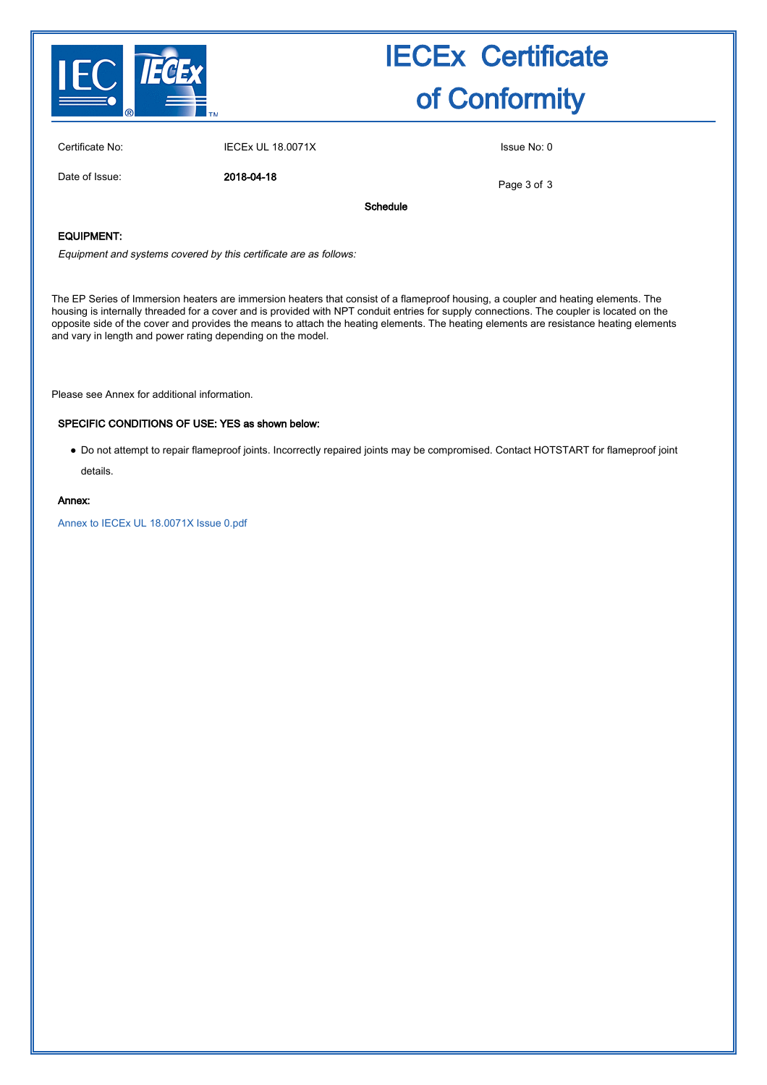

| Certificate No: | <b>IECEx UL 18.0071X</b> | Issue No: 0 |
|-----------------|--------------------------|-------------|
|                 |                          |             |

Date of Issue: 2018-04-18

Page 3 of 3

Schedule

### EQUIPMENT:

Equipment and systems covered by this certificate are as follows:

The EP Series of Immersion heaters are immersion heaters that consist of a flameproof housing, a coupler and heating elements. The housing is internally threaded for a cover and is provided with NPT conduit entries for supply connections. The coupler is located on the opposite side of the cover and provides the means to attach the heating elements. The heating elements are resistance heating elements and vary in length and power rating depending on the model.

Please see Annex for additional information.

#### SPECIFIC CONDITIONS OF USE: YES as shown below:

● Do not attempt to repair flameproof joints. Incorrectly repaired joints may be compromised. Contact HOTSTART for flameproof joint details.

#### Annex:

[Annex to IECEx UL 18.0071X Issue 0.pdf](http://iecex.iec.ch/cert/IECExUL18.0071X0/$File/Annex to IECEx UL 18.0071X Issue 0.pdf)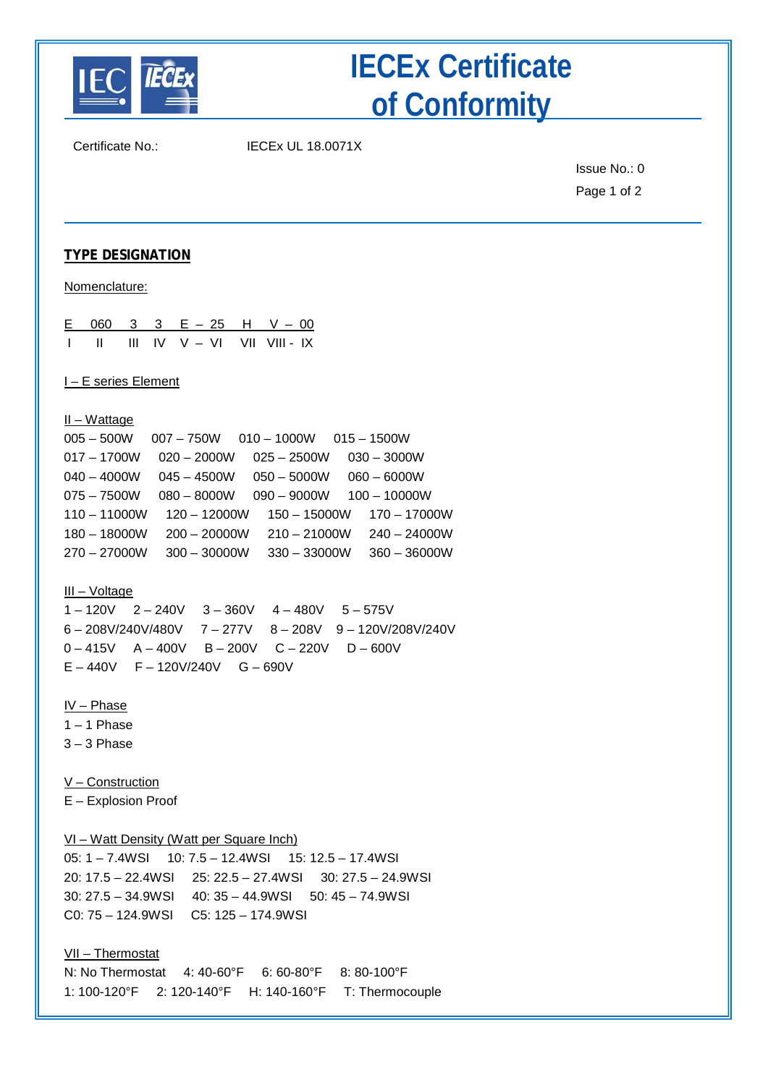

Certificate No.: IECEx UL 18.0071X

Issue No.: 0 Page 1 of 2

### **TYPE DESIGNATION**

Nomenclature:

|  |  | E 060 3 3 E - 25 H V - 00                                                   |  |
|--|--|-----------------------------------------------------------------------------|--|
|  |  | $\parallel$ $\parallel$ $\parallel$ $\parallel$ IV V $\perp$ VI VII VIII IX |  |

I – E series Element

II – Wattage

| $005 - 500W$   | $007 - 750W$ $010 - 1000W$ $015 - 1500W$ |                |                |  |
|----------------|------------------------------------------|----------------|----------------|--|
| $017 - 1700W$  | $020 - 2000W$                            | $025 - 2500W$  | $030 - 3000W$  |  |
| $040 - 4000W$  | $045 - 4500W$                            | $050 - 5000W$  | $060 - 6000W$  |  |
| $075 - 7500W$  | $080 - 8000W$                            | $090 - 9000W$  | $100 - 10000W$ |  |
| $110 - 11000W$ | $120 - 12000W$                           | $150 - 15000W$ | $170 - 17000W$ |  |
| $180 - 18000W$ | $200 - 20000W$                           | $210 - 21000W$ | $240 - 24000W$ |  |
| $270 - 27000W$ | $300 - 30000W$                           | $330 - 33000W$ | $360 - 36000W$ |  |
|                |                                          |                |                |  |

III – Voltage

1 – 120V 2 – 240V 3 – 360V 4 – 480V 5 – 575V 6 – 208V/240V/480V 7 – 277V 8 – 208V 9 – 120V/208V/240V 0 – 415V A – 400V B – 200V C – 220V D – 600V E – 440V F – 120V/240V G – 690V

IV – Phase

 $1 - 1$  Phase

 $3 - 3$  Phase

V – Construction

E – Explosion Proof

VI – Watt Density (Watt per Square Inch)

05: 1 – 7.4WSI 10: 7.5 – 12.4WSI 15: 12.5 – 17.4WSI 20: 17.5 – 22.4WSI 25: 22.5 – 27.4WSI 30: 27.5 – 24.9WSI 30: 27.5 – 34.9WSI 40: 35 – 44.9WSI 50: 45 – 74.9WSI C0: 75 – 124.9WSI C5: 125 – 174.9WSI

### VII – Thermostat

N: No Thermostat 4: 40-60°F 6: 60-80°F 8: 80-100°F 1: 100-120°F 2: 120-140°F H: 140-160°F T: Thermocouple